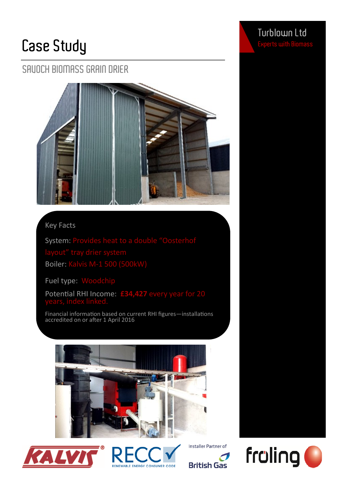## **Case Study**

## **SAVOCH BIOMASS GRAIN DRIER**



### Key Facts

System: Provides heat to a double "Oosterhof Boiler: Kalvis M-1 500 (500kW)

Fuel type: Woodchip

Potential RHI Income: **£34,427** every year for 20

Financial information based on current RHI figures—installations accredited on or after 1 April 2016













**Turblown Ltd**